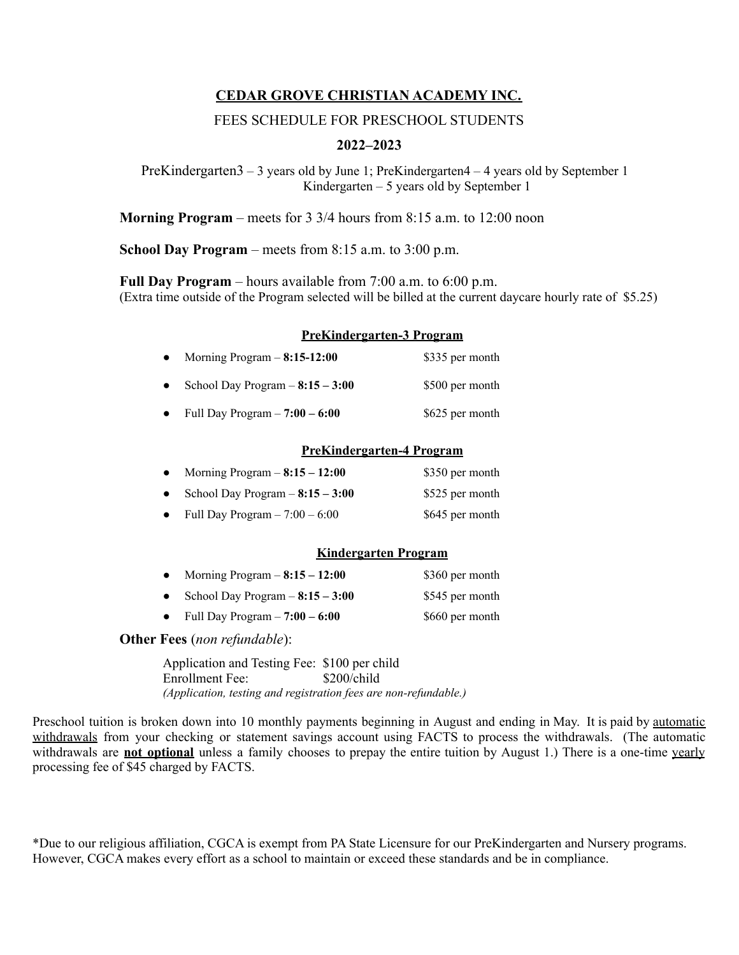# **CEDAR GROVE CHRISTIAN ACADEMY INC.**

## FEES SCHEDULE FOR PRESCHOOL STUDENTS

## **2022–2023**

PreKindergarten3 – 3 years old by June 1; PreKindergarten4 – 4 years old by September 1 Kindergarten – 5 years old by September 1

**Morning Program** – meets for 3 3/4 hours from 8:15 a.m. to 12:00 noon

**School Day Program** – meets from 8:15 a.m. to 3:00 p.m.

**Full Day Program** – hours available from 7:00 a.m. to 6:00 p.m. (Extra time outside of the Program selected will be billed at the current daycare hourly rate of \$5.25)

#### **PreKindergarten-3 Program**

| $\bullet$ | Morning Program $-$ 8:15-12:00  | \$335 per month |
|-----------|---------------------------------|-----------------|
| $\bullet$ | School Day Program $-8:15-3:00$ | \$500 per month |
| $\bullet$ | Full Day Program $-7:00 - 6:00$ | \$625 per month |

## **PreKindergarten-4 Program**

| $\bullet$ | Morning Program $-8:15-12:00$   | \$350 per month |
|-----------|---------------------------------|-----------------|
| $\bullet$ | School Day Program $-8:15-3:00$ | \$525 per month |
| $\bullet$ | Full Day Program $-7:00 - 6:00$ | \$645 per month |

#### **Kindergarten Program**

| $\bullet$ | Morning Program $-8:15-12:00$   | \$360 per month |
|-----------|---------------------------------|-----------------|
| $\bullet$ | School Day Program $-8:15-3:00$ | \$545 per month |

• Full Day Program  $-7:00 - 6:00$  \$660 per month

#### **Other Fees** (*non refundable*):

Application and Testing Fee: \$100 per child<br>Enrollment Fee: \$200/child Enrollment Fee: \$200/child *(Application, testing and registration fees are non-refundable.)*

Preschool tuition is broken down into 10 monthly payments beginning in August and ending in May. It is paid by automatic withdrawals from your checking or statement savings account using FACTS to process the withdrawals. (The automatic withdrawals are **not optional** unless a family chooses to prepay the entire tuition by August 1.) There is a one-time yearly processing fee of \$45 charged by FACTS.

\*Due to our religious affiliation, CGCA is exempt from PA State Licensure for our PreKindergarten and Nursery programs. However, CGCA makes every effort as a school to maintain or exceed these standards and be in compliance.